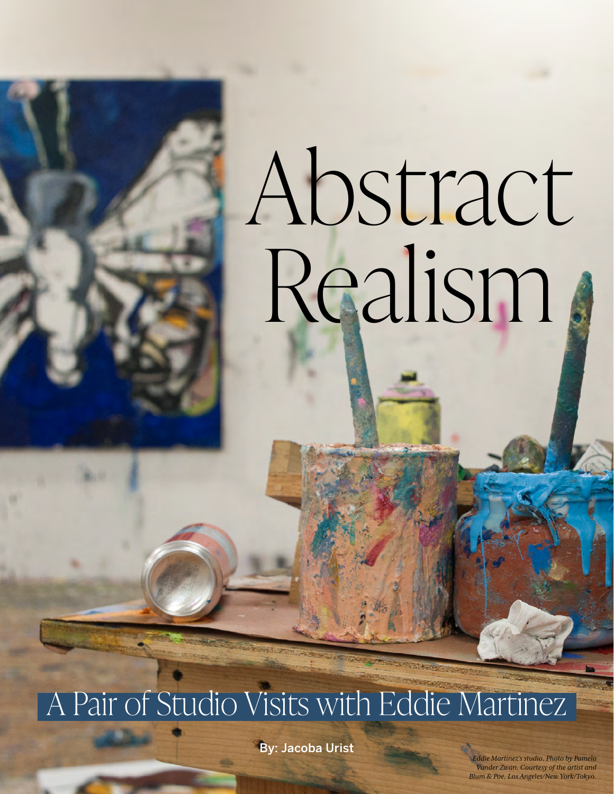# Abstract Realism

A Pair of Studio Visits with Eddie Martinez

By: Jacoba Urist

*Vander Zwan. Courtesy of the artist and**Vander Zwan. Courtesy of the artist and Eddie Martinez's studio. Photo by Pamela Blum & Poe, Los Angeles/New York/Tokyo.*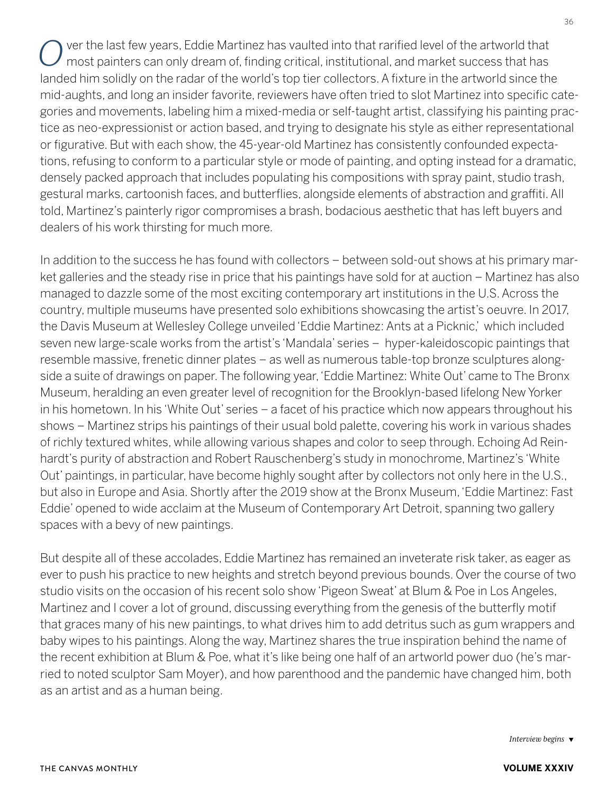ver the last few years, Eddie Martinez has vaulted into that rarified level of the artworld that most painters can only dream of, finding critical, institutional, and market success that has landed him solidly on the radar of the world's top tier collectors. A fixture in the artworld since the mid-aughts, and long an insider favorite, reviewers have often tried to slot Martinez into specific categories and movements, labeling him a mixed-media or self-taught artist, classifying his painting practice as neo-expressionist or action based, and trying to designate his style as either representational or figurative. But with each show, the 45-year-old Martinez has consistently confounded expectations, refusing to conform to a particular style or mode of painting, and opting instead for a dramatic, densely packed approach that includes populating his compositions with spray paint, studio trash, gestural marks, cartoonish faces, and butterflies, alongside elements of abstraction and graffiti. All told, Martinez's painterly rigor compromises a brash, bodacious aesthetic that has left buyers and dealers of his work thirsting for much more.

In addition to the success he has found with collectors – between sold-out shows at his primary market galleries and the steady rise in price that his paintings have sold for at auction – Martinez has also managed to dazzle some of the most exciting contemporary art institutions in the U.S. Across the country, multiple museums have presented solo exhibitions showcasing the artist's oeuvre. In 2017, the Davis Museum at Wellesley College unveiled 'Eddie Martinez: Ants at a Picknic,' which included seven new large-scale works from the artist's 'Mandala' series – hyper-kaleidoscopic paintings that resemble massive, frenetic dinner plates – as well as numerous table-top bronze sculptures alongside a suite of drawings on paper. The following year, 'Eddie Martinez: White Out' came to The Bronx Museum, heralding an even greater level of recognition for the Brooklyn-based lifelong New Yorker in his hometown. In his 'White Out' series – a facet of his practice which now appears throughout his shows – Martinez strips his paintings of their usual bold palette, covering his work in various shades of richly textured whites, while allowing various shapes and color to seep through. Echoing Ad Reinhardt's purity of abstraction and Robert Rauschenberg's study in monochrome, Martinez's 'White Out' paintings, in particular, have become highly sought after by collectors not only here in the U.S., but also in Europe and Asia. Shortly after the 2019 show at the Bronx Museum, 'Eddie Martinez: Fast Eddie' opened to wide acclaim at the Museum of Contemporary Art Detroit, spanning two gallery spaces with a bevy of new paintings.

But despite all of these accolades, Eddie Martinez has remained an inveterate risk taker, as eager as ever to push his practice to new heights and stretch beyond previous bounds. Over the course of two studio visits on the occasion of his recent solo show 'Pigeon Sweat' at Blum & Poe in Los Angeles, Martinez and I cover a lot of ground, discussing everything from the genesis of the butterfly motif that graces many of his new paintings, to what drives him to add detritus such as gum wrappers and baby wipes to his paintings. Along the way, Martinez shares the true inspiration behind the name of the recent exhibition at Blum & Poe, what it's like being one half of an artworld power duo (he's married to noted sculptor Sam Moyer), and how parenthood and the pandemic have changed him, both as an artist and as a human being.

*Interview begins*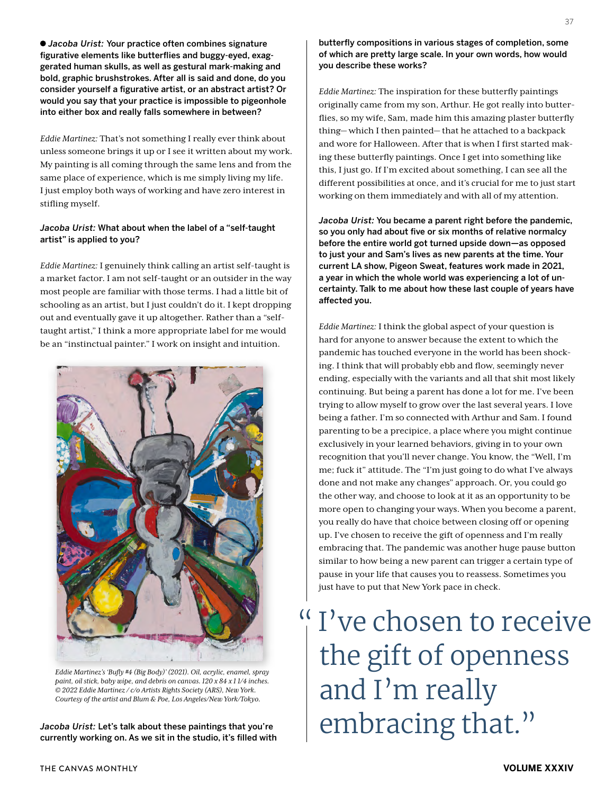*Jacoba Urist:* Your practice often combines signature figurative elements like butterflies and buggy-eyed, exaggerated human skulls, as well as gestural mark-making and bold, graphic brushstrokes. After all is said and done, do you consider yourself a figurative artist, or an abstract artist? Or would you say that your practice is impossible to pigeonhole into either box and really falls somewhere in between?

*Eddie Martinez:* That's not something I really ever think about unless someone brings it up or I see it written about my work. My painting is all coming through the same lens and from the same place of experience, which is me simply living my life. I just employ both ways of working and have zero interest in stifling myself.

# *Jacoba Urist:* What about when the label of a "self-taught artist" is applied to you?

*Eddie Martinez:* I genuinely think calling an artist self-taught is a market factor. I am not self-taught or an outsider in the way most people are familiar with those terms. I had a little bit of schooling as an artist, but I just couldn't do it. I kept dropping out and eventually gave it up altogether. Rather than a "selftaught artist," I think a more appropriate label for me would be an "instinctual painter." I work on insight and intuition.



*Eddie Martinez's 'Bufly #4 (Big Body)' (2021). Oil, acrylic, enamel, spray paint, oil stick, baby wipe, and debris on canvas. 120 x 84 x 1 1/4 inches. © 2022 Eddie Martinez / c/o Artists Rights Society (ARS), New York. Courtesy of the artist and Blum & Poe, Los Angeles/New York/Tokyo.* 

currently working on. As we sit in the studio, it's filled with

butterfly compositions in various stages of completion, some of which are pretty large scale. In your own words, how would you describe these works?

*Eddie Martinez:* The inspiration for these butterfly paintings originally came from my son, Arthur. He got really into butterflies, so my wife, Sam, made him this amazing plaster butterfly thing— which I then painted— that he attached to a backpack and wore for Halloween. After that is when I first started making these butterfly paintings. Once I get into something like this, I just go. If I'm excited about something, I can see all the different possibilities at once, and it's crucial for me to just start working on them immediately and with all of my attention.

*Jacoba Urist:* You became a parent right before the pandemic, so you only had about five or six months of relative normalcy before the entire world got turned upside down—as opposed to just your and Sam's lives as new parents at the time. Your current LA show, Pigeon Sweat, features work made in 2021, a year in which the whole world was experiencing a lot of uncertainty. Talk to me about how these last couple of years have affected you.

*Eddie Martinez:* I think the global aspect of your question is hard for anyone to answer because the extent to which the pandemic has touched everyone in the world has been shocking. I think that will probably ebb and flow, seemingly never ending, especially with the variants and all that shit most likely continuing. But being a parent has done a lot for me. I've been trying to allow myself to grow over the last several years. I love being a father. I'm so connected with Arthur and Sam. I found parenting to be a precipice, a place where you might continue exclusively in your learned behaviors, giving in to your own recognition that you'll never change. You know, the "Well, I'm me; fuck it" attitude. The "I'm just going to do what I've always done and not make any changes" approach. Or, you could go the other way, and choose to look at it as an opportunity to be more open to changing your ways. When you become a parent, you really do have that choice between closing off or opening up. I've chosen to receive the gift of openness and I'm really embracing that. The pandemic was another huge pause button similar to how being a new parent can trigger a certain type of pause in your life that causes you to reassess. Sometimes you just have to put that New York pace in check.

I've chosen to receive the gift of openness and I'm really  $\mathcal{L}_{\mathit{acoba\; Urist:~\mathit{Let's\; talk}\; about\; these\; patients\; that\; you\;'re}} \mid \mathit{embracing\; that\;'}$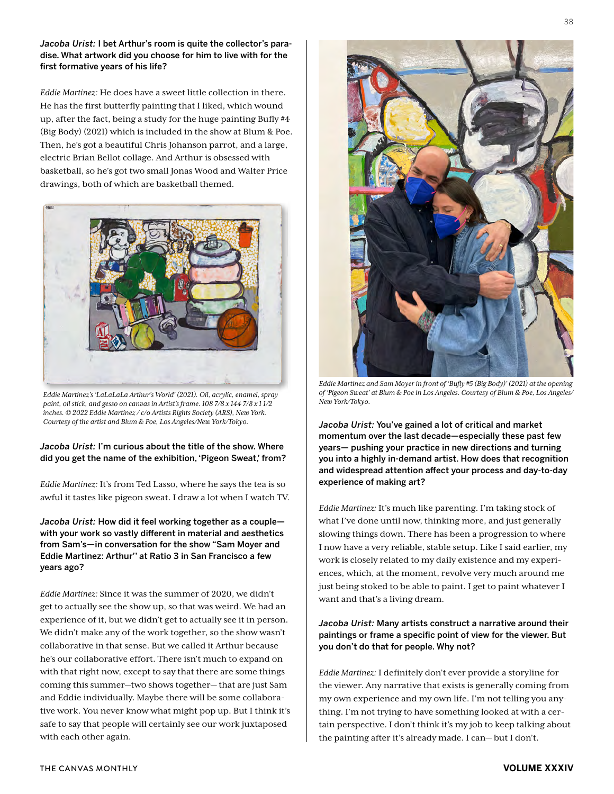*Jacoba Urist:* I bet Arthur's room is quite the collector's paradise. What artwork did you choose for him to live with for the first formative years of his life?

*Eddie Martinez:* He does have a sweet little collection in there. He has the first butterfly painting that I liked, which wound up, after the fact, being a study for the huge painting Bufly #4 (Big Body) (2021) which is included in the show at Blum & Poe. Then, he's got a beautiful Chris Johanson parrot, and a large, electric Brian Bellot collage. And Arthur is obsessed with basketball, so he's got two small Jonas Wood and Walter Price drawings, both of which are basketball themed.



*Eddie Martinez's 'LaLaLaLa Arthur's World' (2021). Oil, acrylic, enamel, spray paint, oil stick, and gesso on canvas in Artist's frame. 108 7/8 x 144 7/8 x 1 1/2 inches. © 2022 Eddie Martinez / c/o Artists Rights Society (ARS), New York. Courtesy of the artist and Blum & Poe, Los Angeles/New York/Tokyo.* 

### *Jacoba Urist:* I'm curious about the title of the show. Where did you get the name of the exhibition, 'Pigeon Sweat,' from?

*Eddie Martinez:* It's from Ted Lasso, where he says the tea is so awful it tastes like pigeon sweat. I draw a lot when I watch TV.

*Jacoba Urist:* How did it feel working together as a couple with your work so vastly different in material and aesthetics from Sam's—in conversation for the show "Sam Moyer and Eddie Martinez: Arthur'' at Ratio 3 in San Francisco a few years ago?

*Eddie Martinez:* Since it was the summer of 2020, we didn't get to actually see the show up, so that was weird. We had an experience of it, but we didn't get to actually see it in person. We didn't make any of the work together, so the show wasn't collaborative in that sense. But we called it Arthur because he's our collaborative effort. There isn't much to expand on with that right now, except to say that there are some things coming this summer—two shows together— that are just Sam and Eddie individually. Maybe there will be some collaborative work. You never know what might pop up. But I think it's safe to say that people will certainly see our work juxtaposed with each other again.



*Eddie Martinez and Sam Moyer in front of 'Bufly #5 (Big Body)' (2021) at the opening of 'Pigeon Sweat' at Blum & Poe in Los Angeles. Courtesy of Blum & Poe, Los Angeles/ New York/Tokyo.*

*Jacoba Urist:* You've gained a lot of critical and market momentum over the last decade—especially these past few years— pushing your practice in new directions and turning you into a highly in-demand artist. How does that recognition and widespread attention affect your process and day-to-day experience of making art?

*Eddie Martinez:* It's much like parenting. I'm taking stock of what I've done until now, thinking more, and just generally slowing things down. There has been a progression to where I now have a very reliable, stable setup. Like I said earlier, my work is closely related to my daily existence and my experiences, which, at the moment, revolve very much around me just being stoked to be able to paint. I get to paint whatever I want and that's a living dream.

## *Jacoba Urist:* Many artists construct a narrative around their paintings or frame a specific point of view for the viewer. But you don't do that for people. Why not?

*Eddie Martinez:* I definitely don't ever provide a storyline for the viewer. Any narrative that exists is generally coming from my own experience and my own life. I'm not telling you anything. I'm not trying to have something looked at with a certain perspective. I don't think it's my job to keep talking about the painting after it's already made. I can— but I don't.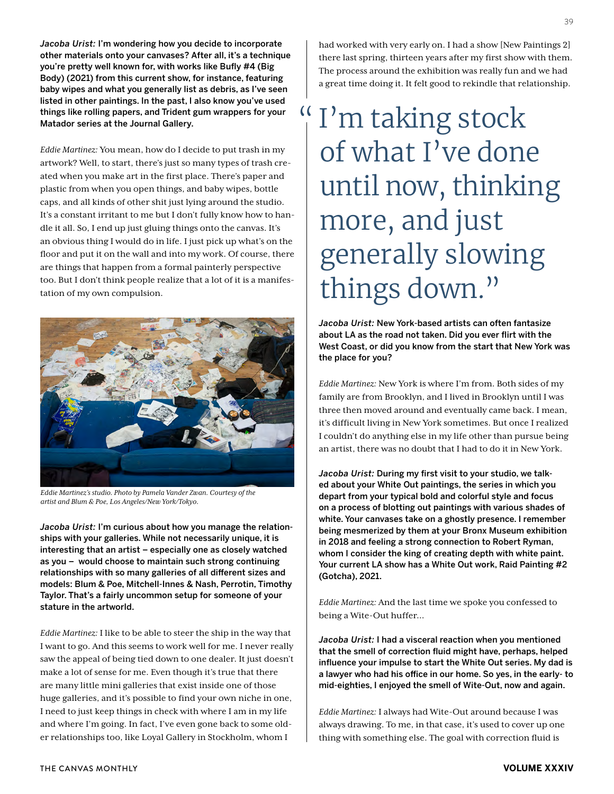*Jacoba Urist:* I'm wondering how you decide to incorporate other materials onto your canvases? After all, it's a technique you're pretty well known for, with works like Bufly #4 (Big Body) (2021) from this current show, for instance, featuring baby wipes and what you generally list as debris, as I've seen listed in other paintings. In the past, I also know you've used things like rolling papers, and Trident gum wrappers for your Matador series at the Journal Gallery.

*Eddie Martinez:* You mean, how do I decide to put trash in my artwork? Well, to start, there's just so many types of trash created when you make art in the first place. There's paper and plastic from when you open things, and baby wipes, bottle caps, and all kinds of other shit just lying around the studio. It's a constant irritant to me but I don't fully know how to handle it all. So, I end up just gluing things onto the canvas. It's an obvious thing I would do in life. I just pick up what's on the floor and put it on the wall and into my work. Of course, there are things that happen from a formal painterly perspective too. But I don't think people realize that a lot of it is a manifestation of my own compulsion.



*Eddie Martinez's studio. Photo by Pamela Vander Zwan. Courtesy of the artist and Blum & Poe, Los Angeles/New York/Tokyo.*

*Jacoba Urist:* I'm curious about how you manage the relationships with your galleries. While not necessarily unique, it is interesting that an artist – especially one as closely watched as you – would choose to maintain such strong continuing relationships with so many galleries of all different sizes and models: Blum & Poe, Mitchell-Innes & Nash, Perrotin, Timothy Taylor. That's a fairly uncommon setup for someone of your stature in the artworld.

*Eddie Martinez:* I like to be able to steer the ship in the way that I want to go. And this seems to work well for me. I never really saw the appeal of being tied down to one dealer. It just doesn't make a lot of sense for me. Even though it's true that there are many little mini galleries that exist inside one of those huge galleries, and it's possible to find your own niche in one, I need to just keep things in check with where I am in my life and where I'm going. In fact, I've even gone back to some older relationships too, like Loyal Gallery in Stockholm, whom I

had worked with very early on. I had a show [New Paintings 2] there last spring, thirteen years after my first show with them. The process around the exhibition was really fun and we had a great time doing it. It felt good to rekindle that relationship.

# I'm taking stock of what I've done until now, thinking more, and just generally slowing things down."

*Jacoba Urist:* New York-based artists can often fantasize about LA as the road not taken. Did you ever flirt with the West Coast, or did you know from the start that New York was the place for you?

*Eddie Martinez:* New York is where I'm from. Both sides of my family are from Brooklyn, and I lived in Brooklyn until I was three then moved around and eventually came back. I mean, it's difficult living in New York sometimes. But once I realized I couldn't do anything else in my life other than pursue being an artist, there was no doubt that I had to do it in New York.

*Jacoba Urist:* During my first visit to your studio, we talked about your White Out paintings, the series in which you depart from your typical bold and colorful style and focus on a process of blotting out paintings with various shades of white. Your canvases take on a ghostly presence. I remember being mesmerized by them at your Bronx Museum exhibition in 2018 and feeling a strong connection to Robert Ryman, whom I consider the king of creating depth with white paint. Your current LA show has a White Out work, Raid Painting #2 (Gotcha), 2021.

*Eddie Martinez:* And the last time we spoke you confessed to being a Wite-Out huffer…

*Jacoba Urist:* I had a visceral reaction when you mentioned that the smell of correction fluid might have, perhaps, helped influence your impulse to start the White Out series. My dad is a lawyer who had his office in our home. So yes, in the early- to mid-eighties, I enjoyed the smell of Wite-Out, now and again.

*Eddie Martinez:* I always had Wite-Out around because I was always drawing. To me, in that case, it's used to cover up one thing with something else. The goal with correction fluid is